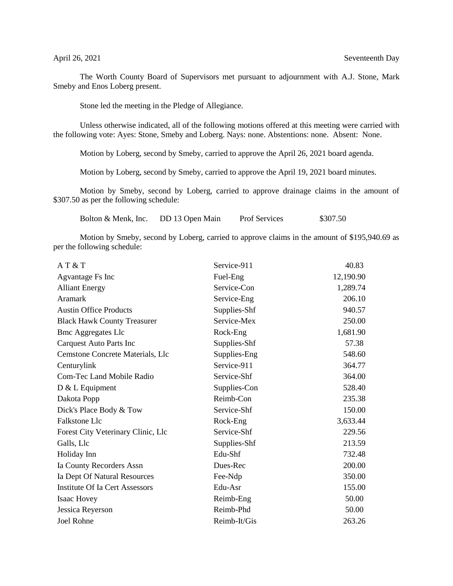The Worth County Board of Supervisors met pursuant to adjournment with A.J. Stone, Mark Smeby and Enos Loberg present.

Stone led the meeting in the Pledge of Allegiance.

Unless otherwise indicated, all of the following motions offered at this meeting were carried with the following vote: Ayes: Stone, Smeby and Loberg. Nays: none. Abstentions: none. Absent: None.

Motion by Loberg, second by Smeby, carried to approve the April 26, 2021 board agenda.

Motion by Loberg, second by Smeby, carried to approve the April 19, 2021 board minutes.

Motion by Smeby, second by Loberg, carried to approve drainage claims in the amount of \$307.50 as per the following schedule:

Bolton & Menk, Inc. DD 13 Open Main Prof Services \$307.50

Motion by Smeby, second by Loberg, carried to approve claims in the amount of \$195,940.69 as per the following schedule:

| AT & T                                | Service-911  | 40.83     |
|---------------------------------------|--------------|-----------|
| Agvantage Fs Inc                      | Fuel-Eng     | 12,190.90 |
| <b>Alliant Energy</b>                 | Service-Con  | 1,289.74  |
| Aramark                               | Service-Eng  | 206.10    |
| <b>Austin Office Products</b>         | Supplies-Shf | 940.57    |
| <b>Black Hawk County Treasurer</b>    | Service-Mex  | 250.00    |
| <b>Bmc Aggregates Llc</b>             | Rock-Eng     | 1,681.90  |
| Carquest Auto Parts Inc               | Supplies-Shf | 57.38     |
| Cemstone Concrete Materials, Llc      | Supplies-Eng | 548.60    |
| Centurylink                           | Service-911  | 364.77    |
| <b>Com-Tec Land Mobile Radio</b>      | Service-Shf  | 364.00    |
| $D & L$ Equipment                     | Supplies-Con | 528.40    |
| Dakota Popp                           | Reimb-Con    | 235.38    |
| Dick's Place Body & Tow               | Service-Shf  | 150.00    |
| Falkstone Llc                         | Rock-Eng     | 3,633.44  |
| Forest City Veterinary Clinic, Llc    | Service-Shf  | 229.56    |
| Galls, Llc                            | Supplies-Shf | 213.59    |
| Holiday Inn                           | Edu-Shf      | 732.48    |
| Ia County Recorders Assn              | Dues-Rec     | 200.00    |
| Ia Dept Of Natural Resources          | Fee-Ndp      | 350.00    |
| <b>Institute Of Ia Cert Assessors</b> | Edu-Asr      | 155.00    |
| Isaac Hovey                           | Reimb-Eng    | 50.00     |
| Jessica Reyerson                      | Reimb-Phd    | 50.00     |
| <b>Joel Rohne</b>                     | Reimb-It/Gis | 263.26    |
|                                       |              |           |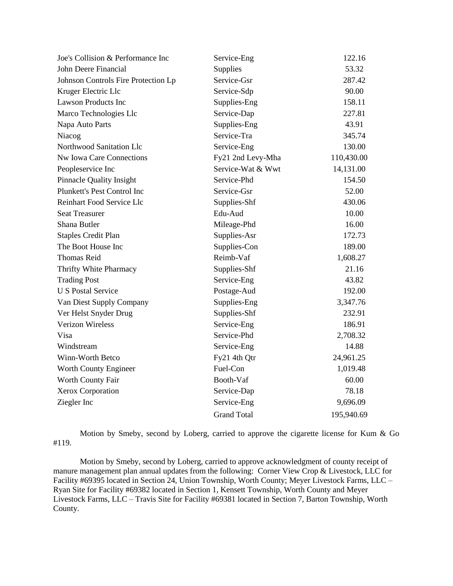| Joe's Collision & Performance Inc   | Service-Eng        | 122.16     |
|-------------------------------------|--------------------|------------|
| John Deere Financial                | Supplies           | 53.32      |
| Johnson Controls Fire Protection Lp | Service-Gsr        | 287.42     |
| Kruger Electric Llc                 | Service-Sdp        | 90.00      |
| <b>Lawson Products Inc</b>          | Supplies-Eng       | 158.11     |
| Marco Technologies Llc              | Service-Dap        | 227.81     |
| Napa Auto Parts                     | Supplies-Eng       | 43.91      |
| Niacog                              | Service-Tra        | 345.74     |
| Northwood Sanitation Llc            | Service-Eng        | 130.00     |
| Nw Iowa Care Connections            | Fy21 2nd Levy-Mha  | 110,430.00 |
| Peopleservice Inc                   | Service-Wat & Wwt  | 14,131.00  |
| <b>Pinnacle Quality Insight</b>     | Service-Phd        | 154.50     |
| Plunkett's Pest Control Inc         | Service-Gsr        | 52.00      |
| Reinhart Food Service Llc           | Supplies-Shf       | 430.06     |
| <b>Seat Treasurer</b>               | Edu-Aud            | 10.00      |
| Shana Butler                        | Mileage-Phd        | 16.00      |
| <b>Staples Credit Plan</b>          | Supplies-Asr       | 172.73     |
| The Boot House Inc                  | Supplies-Con       | 189.00     |
| <b>Thomas Reid</b>                  | Reimb-Vaf          | 1,608.27   |
| Thrifty White Pharmacy              | Supplies-Shf       | 21.16      |
| <b>Trading Post</b>                 | Service-Eng        | 43.82      |
| <b>U S Postal Service</b>           | Postage-Aud        | 192.00     |
| Van Diest Supply Company            | Supplies-Eng       | 3,347.76   |
| Ver Helst Snyder Drug               | Supplies-Shf       | 232.91     |
| <b>Verizon Wireless</b>             | Service-Eng        | 186.91     |
| Visa                                | Service-Phd        | 2,708.32   |
| Windstream                          | Service-Eng        | 14.88      |
| Winn-Worth Betco                    | Fy21 4th Qtr       | 24,961.25  |
| Worth County Engineer               | Fuel-Con           | 1,019.48   |
| Worth County Fair                   | Booth-Vaf          | 60.00      |
| Xerox Corporation                   | Service-Dap        | 78.18      |
| Ziegler Inc                         | Service-Eng        | 9,696.09   |
|                                     | <b>Grand Total</b> | 195,940.69 |

Motion by Smeby, second by Loberg, carried to approve the cigarette license for Kum & Go #119.

Motion by Smeby, second by Loberg, carried to approve acknowledgment of county receipt of manure management plan annual updates from the following: Corner View Crop & Livestock, LLC for Facility #69395 located in Section 24, Union Township, Worth County; Meyer Livestock Farms, LLC – Ryan Site for Facility #69382 located in Section 1, Kensett Township, Worth County and Meyer Livestock Farms, LLC – Travis Site for Facility #69381 located in Section 7, Barton Township, Worth County.